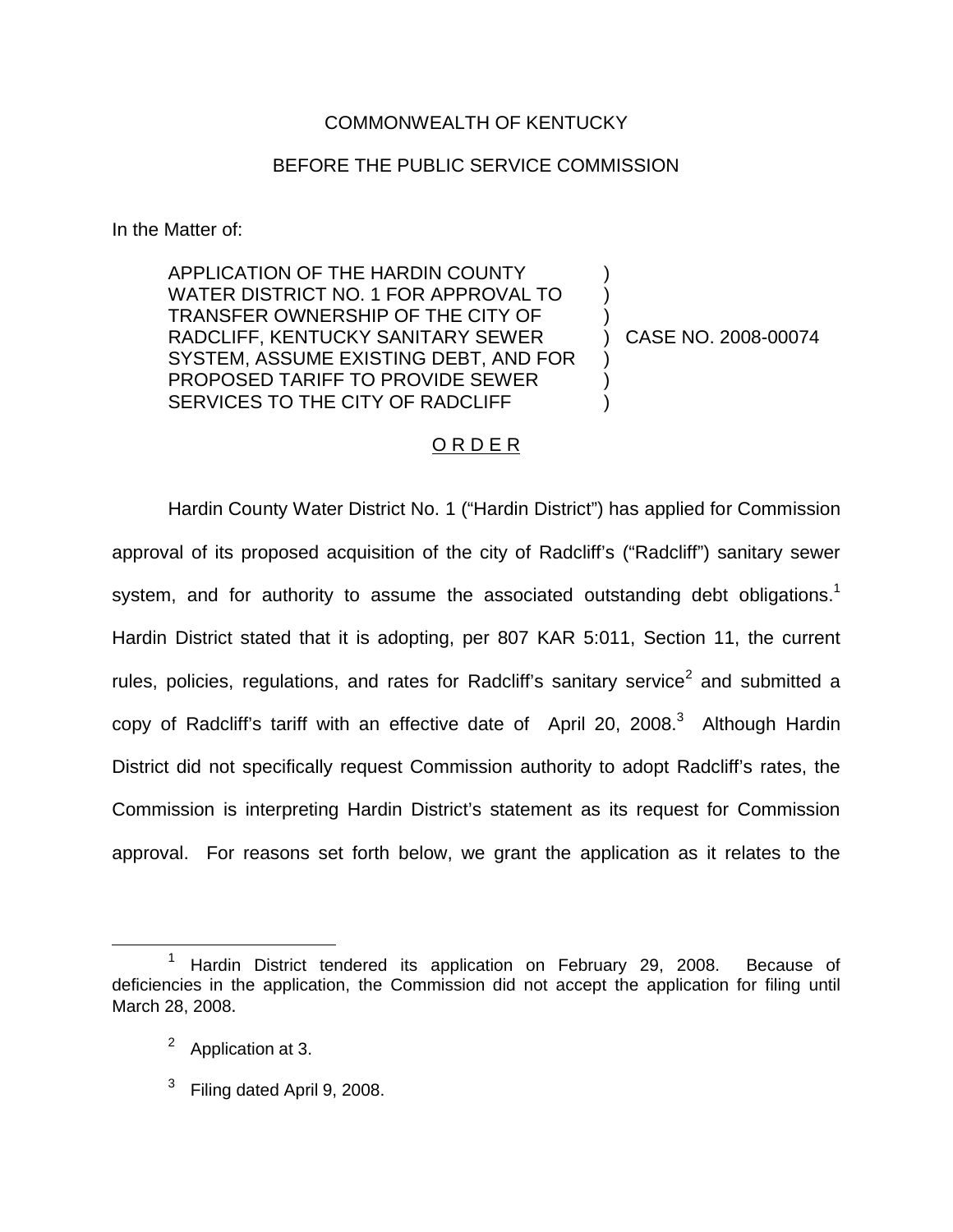## COMMONWEALTH OF KENTUCKY

## BEFORE THE PUBLIC SERVICE COMMISSION

In the Matter of:

APPLICATION OF THE HARDIN COUNTY WATER DISTRICT NO. 1 FOR APPROVAL TO TRANSFER OWNERSHIP OF THE CITY OF RADCLIFF, KENTUCKY SANITARY SEWER SYSTEM, ASSUME EXISTING DEBT, AND FOR PROPOSED TARIFF TO PROVIDE SEWER SERVICES TO THE CITY OF RADCLIFF

) CASE NO. 2008-00074

) ) )

) ) )

## O R D E R

Hardin County Water District No. 1 ("Hardin District") has applied for Commission approval of its proposed acquisition of the city of Radcliff's ("Radcliff") sanitary sewer system, and for authority to assume the associated outstanding debt obligations.<sup>1</sup> Hardin District stated that it is adopting, per 807 KAR 5:011, Section 11, the current rules, policies, regulations, and rates for Radcliff's sanitary service<sup>2</sup> and submitted a copy of Radcliff's tariff with an effective date of April 20, 2008.<sup>3</sup> Although Hardin District did not specifically request Commission authority to adopt Radcliff's rates, the Commission is interpreting Hardin District's statement as its request for Commission approval. For reasons set forth below, we grant the application as it relates to the

 $3$  Filing dated April 9, 2008.

<sup>&</sup>lt;sup>1</sup> Hardin District tendered its application on February 29, 2008. Because of deficiencies in the application, the Commission did not accept the application for filing until March 28, 2008.

<sup>2</sup> Application at 3.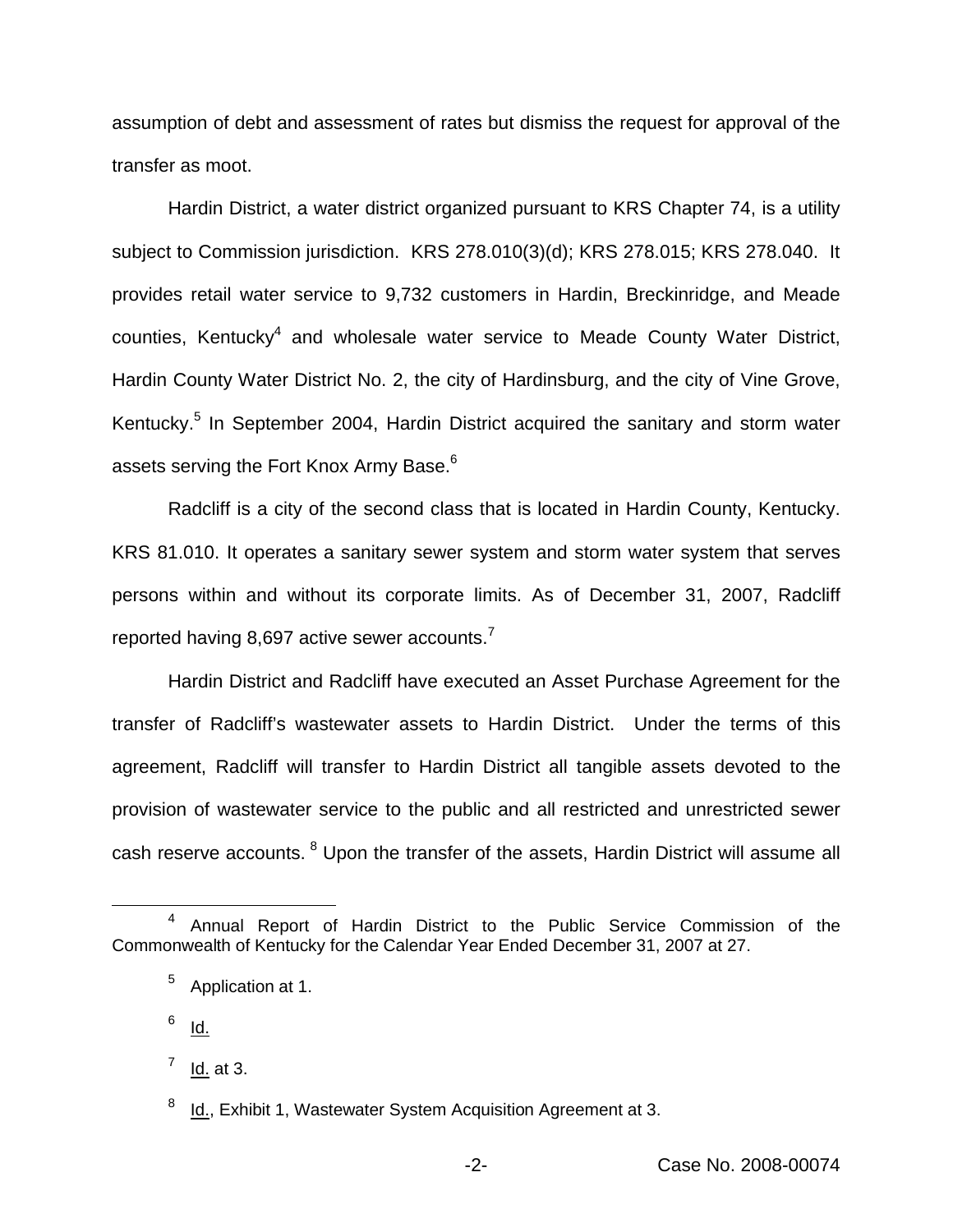assumption of debt and assessment of rates but dismiss the request for approval of the transfer as moot.

Hardin District, a water district organized pursuant to KRS Chapter 74, is a utility subject to Commission jurisdiction. KRS 278.010(3)(d); KRS 278.015; KRS 278.040. It provides retail water service to 9,732 customers in Hardin, Breckinridge, and Meade counties, Kentucky<sup>4</sup> and wholesale water service to Meade County Water District, Hardin County Water District No. 2, the city of Hardinsburg, and the city of Vine Grove, Kentucky.<sup>5</sup> In September 2004, Hardin District acquired the sanitary and storm water assets serving the Fort Knox Army Base.<sup>6</sup>

Radcliff is a city of the second class that is located in Hardin County, Kentucky. KRS 81.010. It operates a sanitary sewer system and storm water system that serves persons within and without its corporate limits. As of December 31, 2007, Radcliff reported having 8,697 active sewer accounts.<sup>7</sup>

Hardin District and Radcliff have executed an Asset Purchase Agreement for the transfer of Radcliff's wastewater assets to Hardin District. Under the terms of this agreement, Radcliff will transfer to Hardin District all tangible assets devoted to the provision of wastewater service to the public and all restricted and unrestricted sewer cash reserve accounts. <sup>8</sup> Upon the transfer of the assets, Hardin District will assume all

 $6$  Id.

<sup>4</sup> Annual Report of Hardin District to the Public Service Commission of the Commonwealth of Kentucky for the Calendar Year Ended December 31, 2007 at 27.

<sup>5</sup> Application at 1.

 $<sup>7</sup>$  Id. at 3.</sup>

<sup>&</sup>lt;sup>8</sup> Id., Exhibit 1, Wastewater System Acquisition Agreement at 3.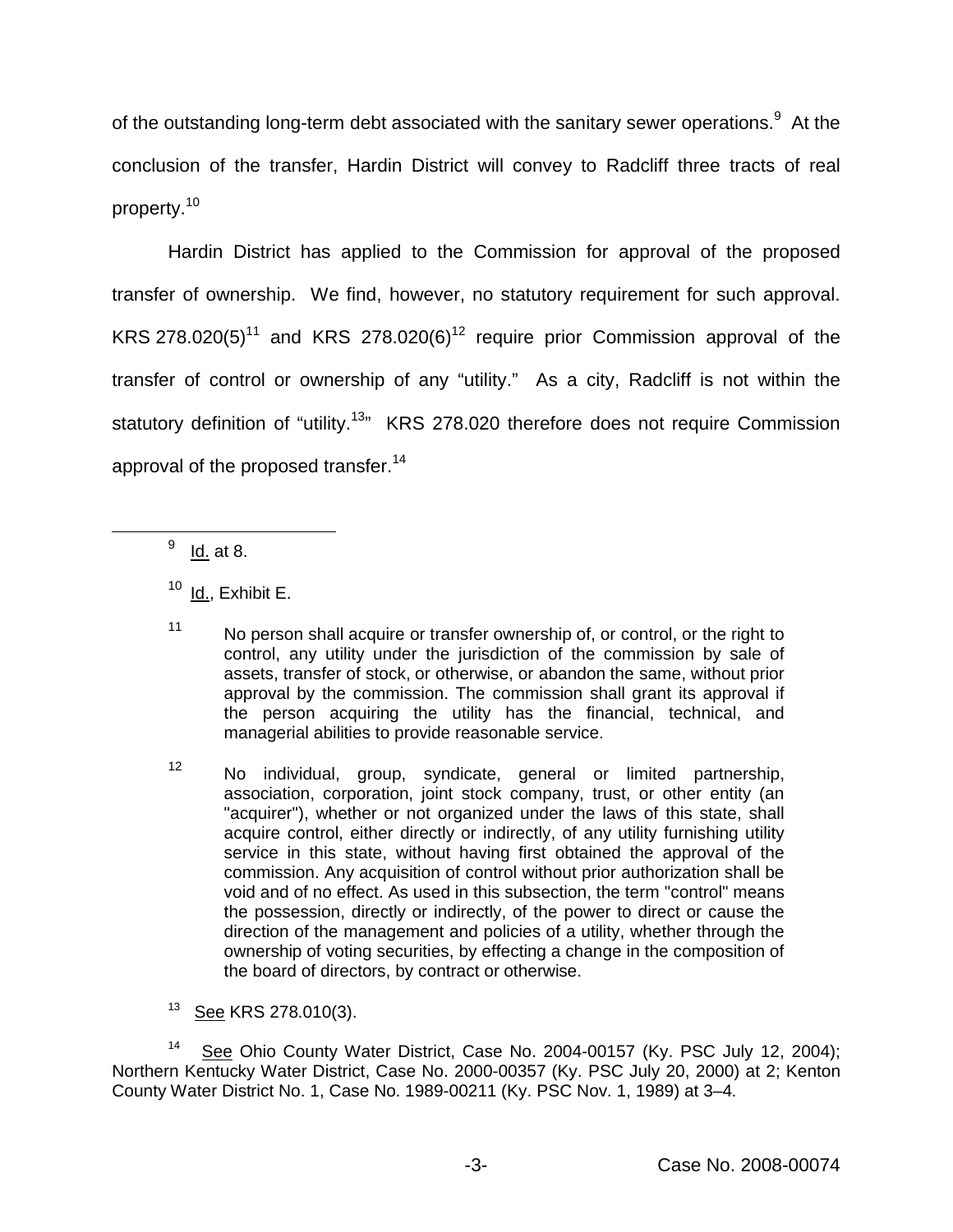of the outstanding long-term debt associated with the sanitary sewer operations.<sup>9</sup> At the conclusion of the transfer, Hardin District will convey to Radcliff three tracts of real property.<sup>10</sup>

Hardin District has applied to the Commission for approval of the proposed transfer of ownership. We find, however, no statutory requirement for such approval. KRS 278.020(5)<sup>11</sup> and KRS 278.020(6)<sup>12</sup> require prior Commission approval of the transfer of control or ownership of any "utility." As a city, Radcliff is not within the statutory definition of "utility.<sup>13</sup>" KRS 278.020 therefore does not require Commission approval of the proposed transfer.<sup>14</sup>

 $9 \underline{\mathsf{Id}}$  at 8.

 $10$  Id., Exhibit E.

<sup>11</sup> No person shall acquire or transfer ownership of, or control, or the right to control, any utility under the jurisdiction of the commission by sale of assets, transfer of stock, or otherwise, or abandon the same, without prior approval by the commission. The commission shall grant its approval if the person acquiring the utility has the financial, technical, and managerial abilities to provide reasonable service.

 $12$  No individual, group, syndicate, general or limited partnership, association, corporation, joint stock company, trust, or other entity (an "acquirer"), whether or not organized under the laws of this state, shall acquire control, either directly or indirectly, of any utility furnishing utility service in this state, without having first obtained the approval of the commission. Any acquisition of control without prior authorization shall be void and of no effect. As used in this subsection, the term "control" means the possession, directly or indirectly, of the power to direct or cause the direction of the management and policies of a utility, whether through the ownership of voting securities, by effecting a change in the composition of the board of directors, by contract or otherwise.

<sup>13</sup> See KRS 278.010(3).

<sup>14</sup> See Ohio County Water District, Case No. 2004-00157 (Ky. PSC July 12, 2004); Northern Kentucky Water District, Case No. 2000-00357 (Ky. PSC July 20, 2000) at 2; Kenton County Water District No. 1, Case No. 1989-00211 (Ky. PSC Nov. 1, 1989) at 3–4.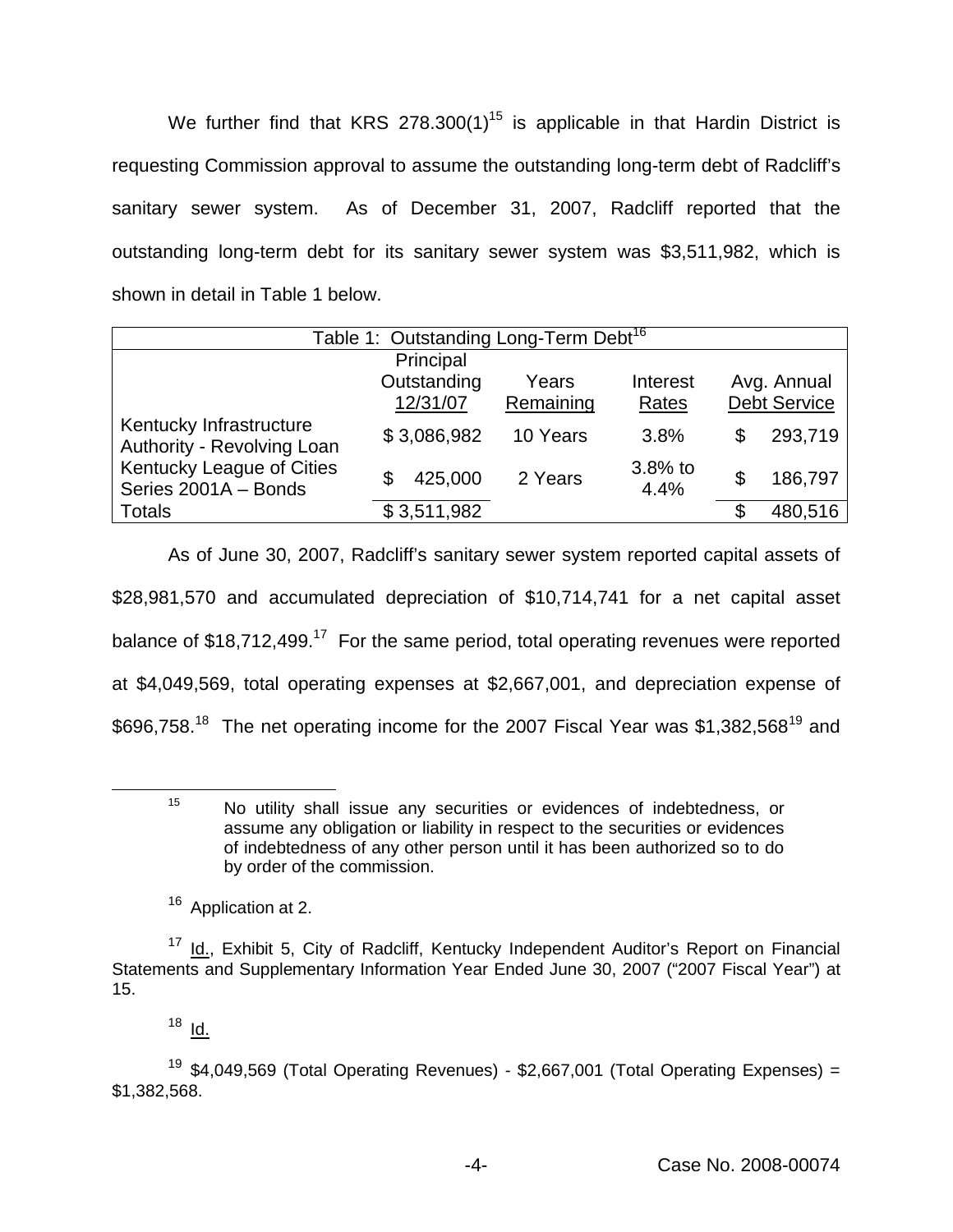We further find that KRS 278.300(1)<sup>15</sup> is applicable in that Hardin District is requesting Commission approval to assume the outstanding long-term debt of Radcliff's sanitary sewer system. As of December 31, 2007, Radcliff reported that the outstanding long-term debt for its sanitary sewer system was \$3,511,982, which is shown in detail in Table 1 below.

| Table 1: Outstanding Long-Term Debt <sup>16</sup>                                                          |                         |                    |                   |                                    |         |
|------------------------------------------------------------------------------------------------------------|-------------------------|--------------------|-------------------|------------------------------------|---------|
|                                                                                                            | Principal               |                    |                   |                                    |         |
| Kentucky Infrastructure<br>Authority - Revolving Loan<br>Kentucky League of Cities<br>Series 2001A - Bonds | Outstanding<br>12/31/07 | Years<br>Remaining | Interest<br>Rates | Avg. Annual<br><b>Debt Service</b> |         |
|                                                                                                            | \$3,086,982             | 10 Years           | 3.8%              | S                                  | 293,719 |
|                                                                                                            | 425,000<br>\$           | 2 Years            | 3.8% to<br>4.4%   | \$                                 | 186,797 |
| <b>Totals</b>                                                                                              | \$3,511,982             |                    |                   | S                                  | 480,516 |

As of June 30, 2007, Radcliff's sanitary sewer system reported capital assets of \$28,981,570 and accumulated depreciation of \$10,714,741 for a net capital asset balance of  $$18,712,499.<sup>17</sup>$  For the same period, total operating revenues were reported at \$4,049,569, total operating expenses at \$2,667,001, and depreciation expense of \$696,758.<sup>18</sup> The net operating income for the 2007 Fiscal Year was \$1,382,568<sup>19</sup> and

<sup>15</sup> No utility shall issue any securities or evidences of indebtedness, or assume any obligation or liability in respect to the securities or evidences of indebtedness of any other person until it has been authorized so to do by order of the commission.

<sup>16</sup> Application at 2.

 $18$  Id.

<sup>&</sup>lt;sup>17</sup> Id., Exhibit 5, City of Radcliff, Kentucky Independent Auditor's Report on Financial Statements and Supplementary Information Year Ended June 30, 2007 ("2007 Fiscal Year") at 15.

<sup>&</sup>lt;sup>19</sup> \$4,049,569 (Total Operating Revenues) - \$2,667,001 (Total Operating Expenses) = \$1,382,568.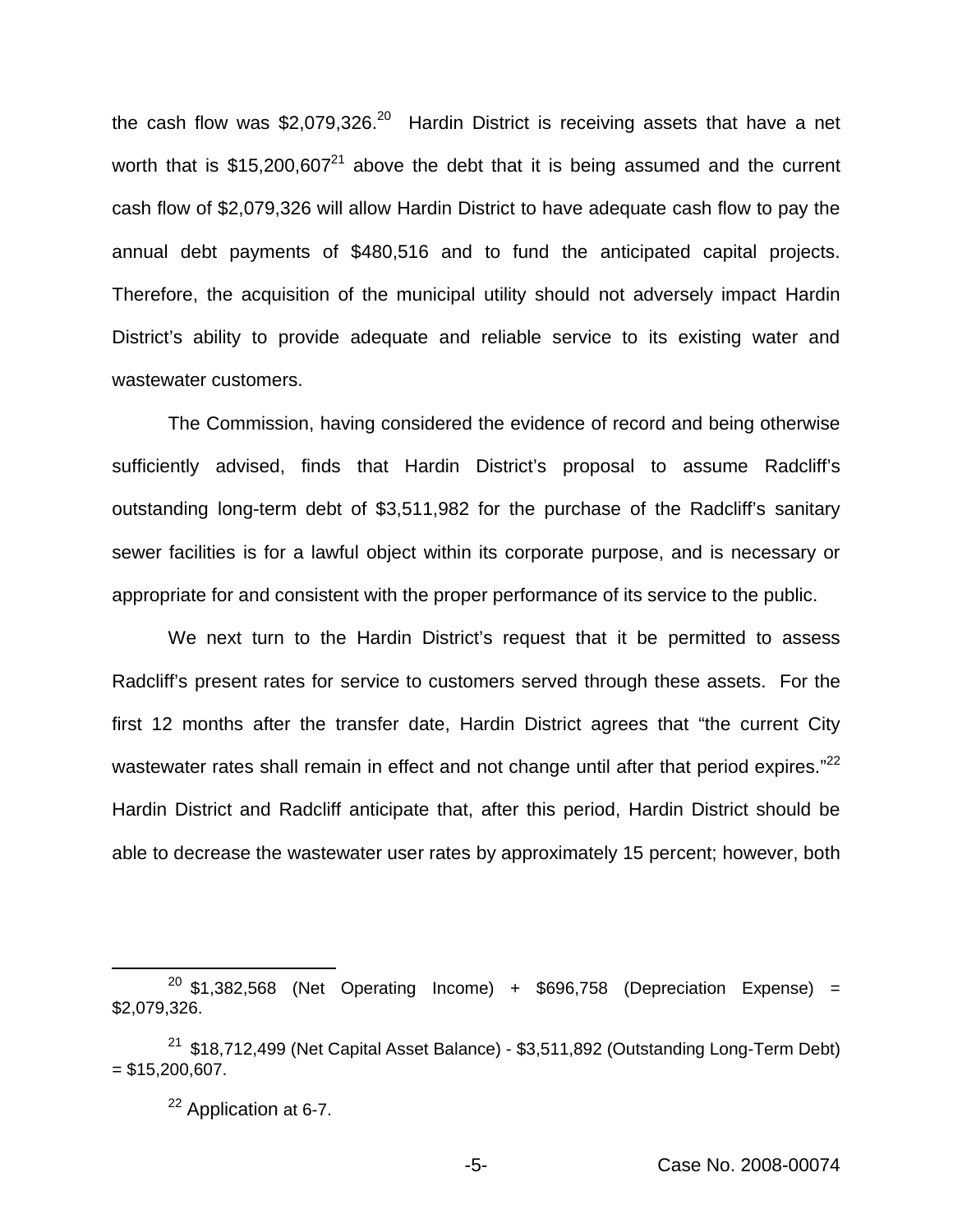the cash flow was  $$2,079,326.<sup>20</sup>$  Hardin District is receiving assets that have a net worth that is  $$15,200,607<sup>21</sup>$  above the debt that it is being assumed and the current cash flow of \$2,079,326 will allow Hardin District to have adequate cash flow to pay the annual debt payments of \$480,516 and to fund the anticipated capital projects. Therefore, the acquisition of the municipal utility should not adversely impact Hardin District's ability to provide adequate and reliable service to its existing water and wastewater customers.

The Commission, having considered the evidence of record and being otherwise sufficiently advised, finds that Hardin District's proposal to assume Radcliff's outstanding long-term debt of \$3,511,982 for the purchase of the Radcliff's sanitary sewer facilities is for a lawful object within its corporate purpose, and is necessary or appropriate for and consistent with the proper performance of its service to the public.

We next turn to the Hardin District's request that it be permitted to assess Radcliff's present rates for service to customers served through these assets. For the first 12 months after the transfer date, Hardin District agrees that "the current City wastewater rates shall remain in effect and not change until after that period expires."<sup>22</sup> Hardin District and Radcliff anticipate that, after this period, Hardin District should be able to decrease the wastewater user rates by approximately 15 percent; however, both

 $20$  \$1,382,568 (Net Operating Income) + \$696,758 (Depreciation Expense) = \$2,079,326.

 $21$  \$18,712,499 (Net Capital Asset Balance) - \$3,511,892 (Outstanding Long-Term Debt)  $= $15,200,607.$ 

<sup>22</sup> Application at 6-7.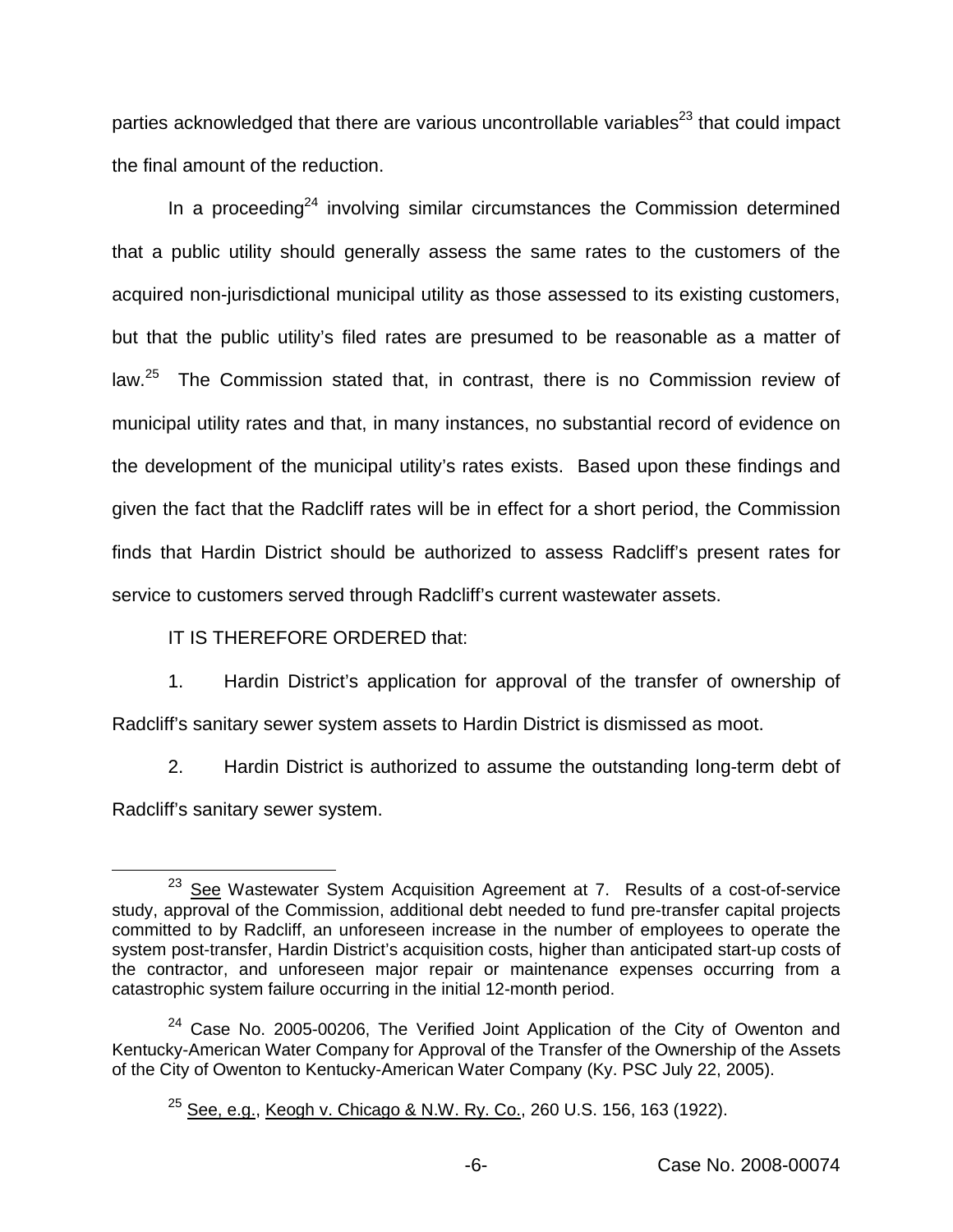parties acknowledged that there are various uncontrollable variables $^{23}$  that could impact the final amount of the reduction.

In a proceeding<sup>24</sup> involving similar circumstances the Commission determined that a public utility should generally assess the same rates to the customers of the acquired non-jurisdictional municipal utility as those assessed to its existing customers, but that the public utility's filed rates are presumed to be reasonable as a matter of law.<sup>25</sup> The Commission stated that, in contrast, there is no Commission review of municipal utility rates and that, in many instances, no substantial record of evidence on the development of the municipal utility's rates exists. Based upon these findings and given the fact that the Radcliff rates will be in effect for a short period, the Commission finds that Hardin District should be authorized to assess Radcliff's present rates for service to customers served through Radcliff's current wastewater assets.

IT IS THEREFORE ORDERED that:

1. Hardin District's application for approval of the transfer of ownership of Radcliff's sanitary sewer system assets to Hardin District is dismissed as moot.

2. Hardin District is authorized to assume the outstanding long-term debt of Radcliff's sanitary sewer system.

<sup>&</sup>lt;sup>23</sup> See Wastewater System Acquisition Agreement at 7. Results of a cost-of-service study, approval of the Commission, additional debt needed to fund pre-transfer capital projects committed to by Radcliff, an unforeseen increase in the number of employees to operate the system post-transfer, Hardin District's acquisition costs, higher than anticipated start-up costs of the contractor, and unforeseen major repair or maintenance expenses occurring from a catastrophic system failure occurring in the initial 12-month period.

 $24$  Case No. 2005-00206, The Verified Joint Application of the City of Owenton and Kentucky-American Water Company for Approval of the Transfer of the Ownership of the Assets of the City of Owenton to Kentucky-American Water Company (Ky. PSC July 22, 2005).

 $25$  See, e.g., Keogh v. Chicago & N.W. Ry. Co., 260 U.S. 156, 163 (1922).